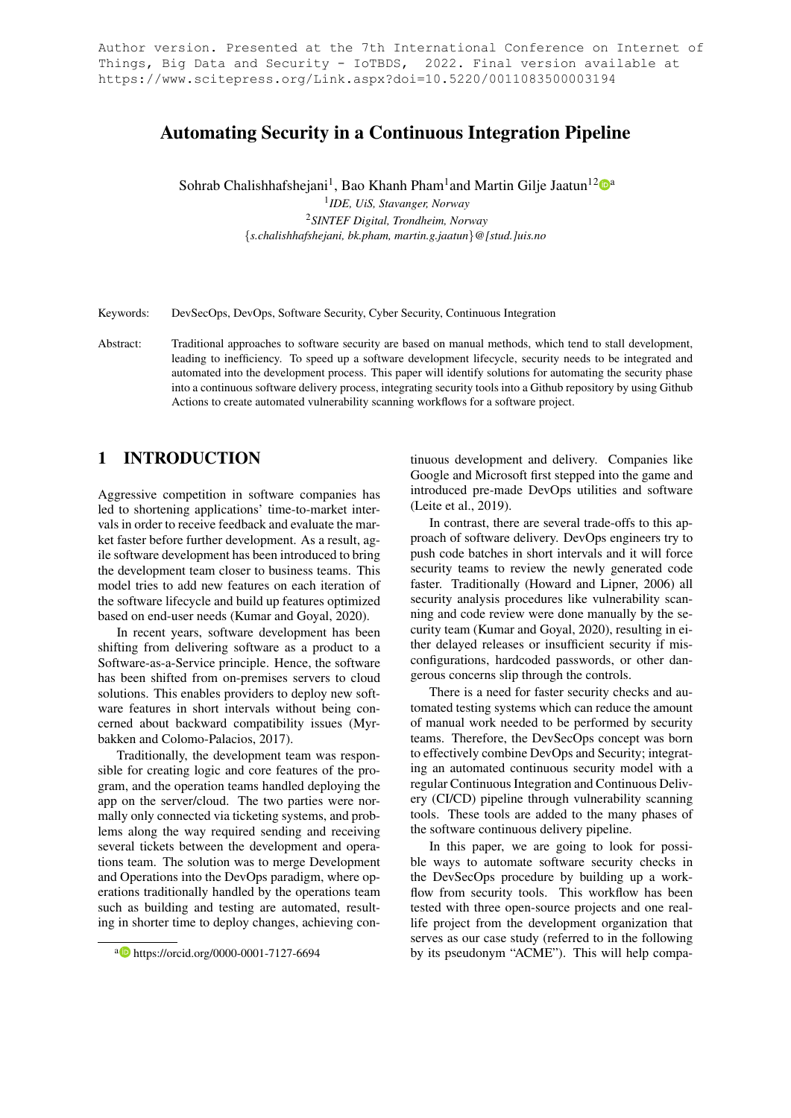Author version. Presented at the 7th International Conference on Internet of<br>Things, Big Data and Security - IoTBDS, 2022. Final version available at Things, Big Data and Security - IoTBDS, https://www.scitepress.org/Link.aspx?doi=10.5220/0011083500003194

# Automating Security in a Continuous Integration Pipeline

Sohrab Chalishhafshejani<sup>1</sup>, Bao Khanh Pham<sup>1</sup>and Martin Gilje Jaatun<sup>12</sup>©ª

1 *IDE, UiS, Stavanger, Norway*

<sup>2</sup>*SINTEF Digital, Trondheim, Norway* {*s.chalishhafshejani, bk.pham, martin.g.jaatun*}*@[stud.]uis.no*

Keywords: DevSecOps, DevOps, Software Security, Cyber Security, Continuous Integration

Abstract: Traditional approaches to software security are based on manual methods, which tend to stall development, leading to inefficiency. To speed up a software development lifecycle, security needs to be integrated and automated into the development process. This paper will identify solutions for automating the security phase into a continuous software delivery process, integrating security tools into a Github repository by using Github Actions to create automated vulnerability scanning workflows for a software project.

# 1 INTRODUCTION

Aggressive competition in software companies has led to shortening applications' time-to-market intervals in order to receive feedback and evaluate the market faster before further development. As a result, agile software development has been introduced to bring the development team closer to business teams. This model tries to add new features on each iteration of the software lifecycle and build up features optimized based on end-user needs (Kumar and Goyal, 2020).

In recent years, software development has been shifting from delivering software as a product to a Software-as-a-Service principle. Hence, the software has been shifted from on-premises servers to cloud solutions. This enables providers to deploy new software features in short intervals without being concerned about backward compatibility issues (Myrbakken and Colomo-Palacios, 2017).

Traditionally, the development team was responsible for creating logic and core features of the program, and the operation teams handled deploying the app on the server/cloud. The two parties were normally only connected via ticketing systems, and problems along the way required sending and receiving several tickets between the development and operations team. The solution was to merge Development and Operations into the DevOps paradigm, where operations traditionally handled by the operations team such as building and testing are automated, resulting in shorter time to deploy changes, achieving con-

tinuous development and delivery. Companies like Google and Microsoft first stepped into the game and introduced pre-made DevOps utilities and software (Leite et al., 2019).

In contrast, there are several trade-offs to this approach of software delivery. DevOps engineers try to push code batches in short intervals and it will force security teams to review the newly generated code faster. Traditionally (Howard and Lipner, 2006) all security analysis procedures like vulnerability scanning and code review were done manually by the security team (Kumar and Goyal, 2020), resulting in either delayed releases or insufficient security if misconfigurations, hardcoded passwords, or other dangerous concerns slip through the controls.

There is a need for faster security checks and automated testing systems which can reduce the amount of manual work needed to be performed by security teams. Therefore, the DevSecOps concept was born to effectively combine DevOps and Security; integrating an automated continuous security model with a regular Continuous Integration and Continuous Delivery (CI/CD) pipeline through vulnerability scanning tools. These tools are added to the many phases of the software continuous delivery pipeline.

In this paper, we are going to look for possible ways to automate software security checks in the DevSecOps procedure by building up a workflow from security tools. This workflow has been tested with three open-source projects and one reallife project from the development organization that serves as our case study (referred to in the following by its pseudonym "ACME"). This will help compa-

<sup>a</sup> https://orcid.org/0000-0001-7127-6694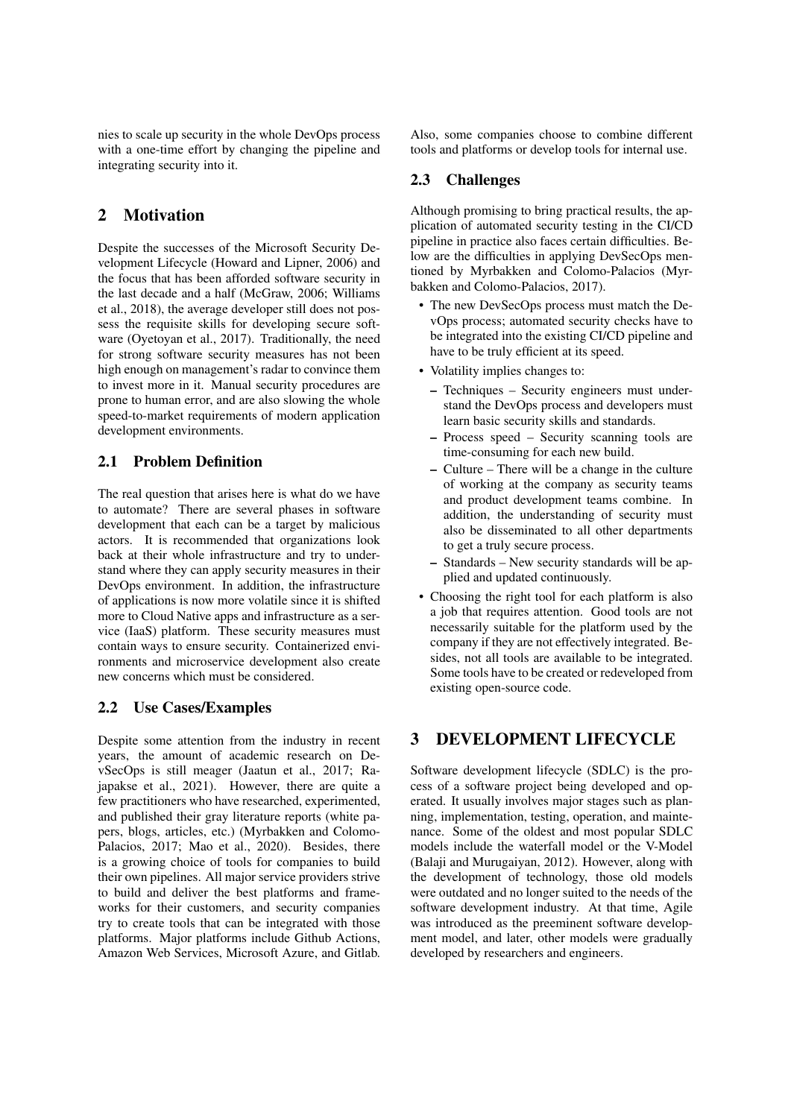nies to scale up security in the whole DevOps process with a one-time effort by changing the pipeline and integrating security into it.

# 2 Motivation

Despite the successes of the Microsoft Security Development Lifecycle (Howard and Lipner, 2006) and the focus that has been afforded software security in the last decade and a half (McGraw, 2006; Williams et al., 2018), the average developer still does not possess the requisite skills for developing secure software (Oyetoyan et al., 2017). Traditionally, the need for strong software security measures has not been high enough on management's radar to convince them to invest more in it. Manual security procedures are prone to human error, and are also slowing the whole speed-to-market requirements of modern application development environments.

# 2.1 Problem Definition

The real question that arises here is what do we have to automate? There are several phases in software development that each can be a target by malicious actors. It is recommended that organizations look back at their whole infrastructure and try to understand where they can apply security measures in their DevOps environment. In addition, the infrastructure of applications is now more volatile since it is shifted more to Cloud Native apps and infrastructure as a service (IaaS) platform. These security measures must contain ways to ensure security. Containerized environments and microservice development also create new concerns which must be considered.

## 2.2 Use Cases/Examples

Despite some attention from the industry in recent years, the amount of academic research on DevSecOps is still meager (Jaatun et al., 2017; Rajapakse et al., 2021). However, there are quite a few practitioners who have researched, experimented, and published their gray literature reports (white papers, blogs, articles, etc.) (Myrbakken and Colomo-Palacios, 2017; Mao et al., 2020). Besides, there is a growing choice of tools for companies to build their own pipelines. All major service providers strive to build and deliver the best platforms and frameworks for their customers, and security companies try to create tools that can be integrated with those platforms. Major platforms include Github Actions, Amazon Web Services, Microsoft Azure, and Gitlab.

Also, some companies choose to combine different tools and platforms or develop tools for internal use.

### 2.3 Challenges

Although promising to bring practical results, the application of automated security testing in the CI/CD pipeline in practice also faces certain difficulties. Below are the difficulties in applying DevSecOps mentioned by Myrbakken and Colomo-Palacios (Myrbakken and Colomo-Palacios, 2017).

- The new DevSecOps process must match the DevOps process; automated security checks have to be integrated into the existing CI/CD pipeline and have to be truly efficient at its speed.
- Volatility implies changes to:
	- Techniques Security engineers must understand the DevOps process and developers must learn basic security skills and standards.
	- Process speed Security scanning tools are time-consuming for each new build.
	- Culture There will be a change in the culture of working at the company as security teams and product development teams combine. In addition, the understanding of security must also be disseminated to all other departments to get a truly secure process.
	- Standards New security standards will be applied and updated continuously.
- Choosing the right tool for each platform is also a job that requires attention. Good tools are not necessarily suitable for the platform used by the company if they are not effectively integrated. Besides, not all tools are available to be integrated. Some tools have to be created or redeveloped from existing open-source code.

# 3 DEVELOPMENT LIFECYCLE

Software development lifecycle (SDLC) is the process of a software project being developed and operated. It usually involves major stages such as planning, implementation, testing, operation, and maintenance. Some of the oldest and most popular SDLC models include the waterfall model or the V-Model (Balaji and Murugaiyan, 2012). However, along with the development of technology, those old models were outdated and no longer suited to the needs of the software development industry. At that time, Agile was introduced as the preeminent software development model, and later, other models were gradually developed by researchers and engineers.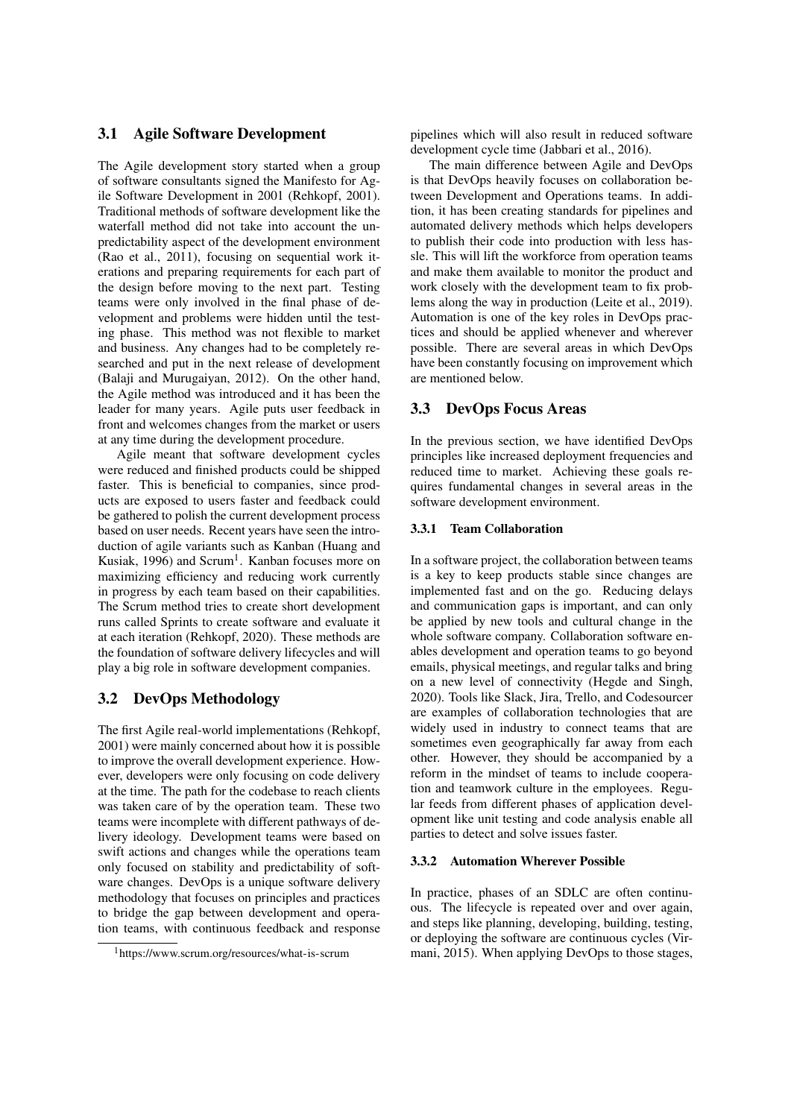### 3.1 Agile Software Development

The Agile development story started when a group of software consultants signed the Manifesto for Agile Software Development in 2001 (Rehkopf, 2001). Traditional methods of software development like the waterfall method did not take into account the unpredictability aspect of the development environment (Rao et al., 2011), focusing on sequential work iterations and preparing requirements for each part of the design before moving to the next part. Testing teams were only involved in the final phase of development and problems were hidden until the testing phase. This method was not flexible to market and business. Any changes had to be completely researched and put in the next release of development (Balaji and Murugaiyan, 2012). On the other hand, the Agile method was introduced and it has been the leader for many years. Agile puts user feedback in front and welcomes changes from the market or users at any time during the development procedure.

Agile meant that software development cycles were reduced and finished products could be shipped faster. This is beneficial to companies, since products are exposed to users faster and feedback could be gathered to polish the current development process based on user needs. Recent years have seen the introduction of agile variants such as Kanban (Huang and Kusiak, 1996) and Scrum<sup>1</sup>. Kanban focuses more on maximizing efficiency and reducing work currently in progress by each team based on their capabilities. The Scrum method tries to create short development runs called Sprints to create software and evaluate it at each iteration (Rehkopf, 2020). These methods are the foundation of software delivery lifecycles and will play a big role in software development companies.

## 3.2 DevOps Methodology

The first Agile real-world implementations (Rehkopf, 2001) were mainly concerned about how it is possible to improve the overall development experience. However, developers were only focusing on code delivery at the time. The path for the codebase to reach clients was taken care of by the operation team. These two teams were incomplete with different pathways of delivery ideology. Development teams were based on swift actions and changes while the operations team only focused on stability and predictability of software changes. DevOps is a unique software delivery methodology that focuses on principles and practices to bridge the gap between development and operation teams, with continuous feedback and response pipelines which will also result in reduced software development cycle time (Jabbari et al., 2016).

The main difference between Agile and DevOps is that DevOps heavily focuses on collaboration between Development and Operations teams. In addition, it has been creating standards for pipelines and automated delivery methods which helps developers to publish their code into production with less hassle. This will lift the workforce from operation teams and make them available to monitor the product and work closely with the development team to fix problems along the way in production (Leite et al., 2019). Automation is one of the key roles in DevOps practices and should be applied whenever and wherever possible. There are several areas in which DevOps have been constantly focusing on improvement which are mentioned below.

#### 3.3 DevOps Focus Areas

In the previous section, we have identified DevOps principles like increased deployment frequencies and reduced time to market. Achieving these goals requires fundamental changes in several areas in the software development environment.

#### 3.3.1 Team Collaboration

In a software project, the collaboration between teams is a key to keep products stable since changes are implemented fast and on the go. Reducing delays and communication gaps is important, and can only be applied by new tools and cultural change in the whole software company. Collaboration software enables development and operation teams to go beyond emails, physical meetings, and regular talks and bring on a new level of connectivity (Hegde and Singh, 2020). Tools like Slack, Jira, Trello, and Codesourcer are examples of collaboration technologies that are widely used in industry to connect teams that are sometimes even geographically far away from each other. However, they should be accompanied by a reform in the mindset of teams to include cooperation and teamwork culture in the employees. Regular feeds from different phases of application development like unit testing and code analysis enable all parties to detect and solve issues faster.

#### 3.3.2 Automation Wherever Possible

In practice, phases of an SDLC are often continuous. The lifecycle is repeated over and over again, and steps like planning, developing, building, testing, or deploying the software are continuous cycles (Virmani, 2015). When applying DevOps to those stages,

<sup>1</sup>https://www.scrum.org/resources/what-is-scrum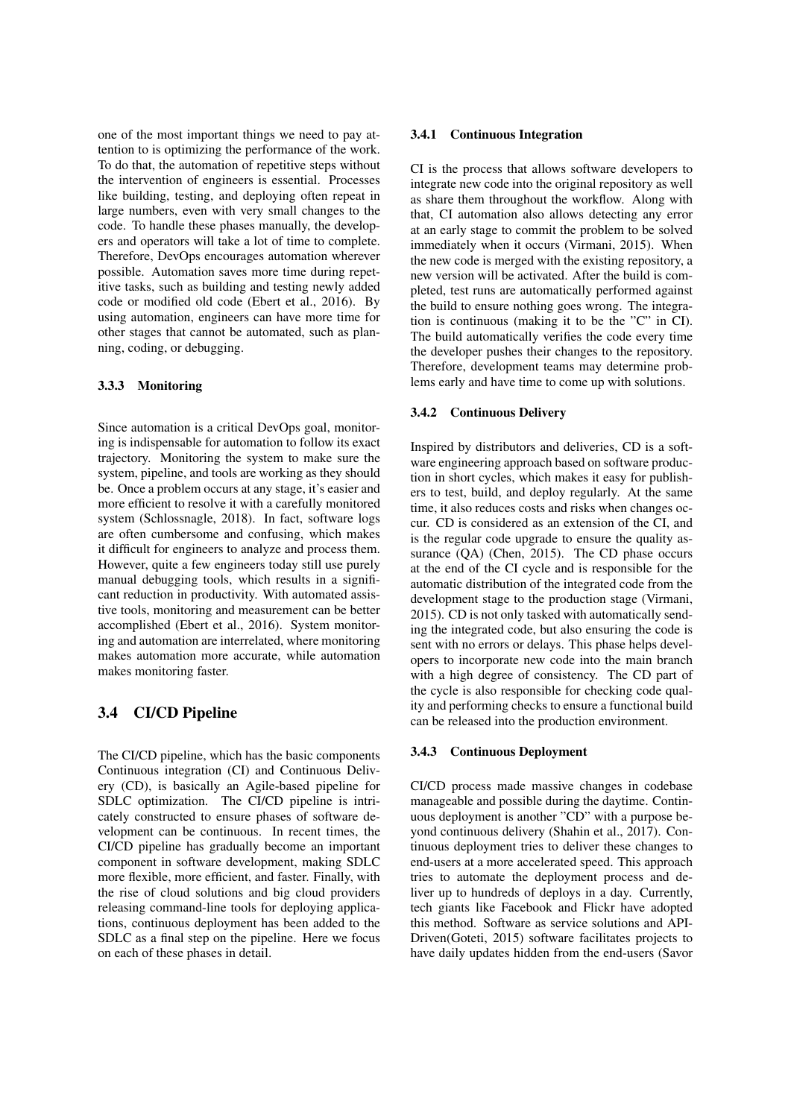one of the most important things we need to pay attention to is optimizing the performance of the work. To do that, the automation of repetitive steps without the intervention of engineers is essential. Processes like building, testing, and deploying often repeat in large numbers, even with very small changes to the code. To handle these phases manually, the developers and operators will take a lot of time to complete. Therefore, DevOps encourages automation wherever possible. Automation saves more time during repetitive tasks, such as building and testing newly added code or modified old code (Ebert et al., 2016). By using automation, engineers can have more time for other stages that cannot be automated, such as planning, coding, or debugging.

#### 3.3.3 Monitoring

Since automation is a critical DevOps goal, monitoring is indispensable for automation to follow its exact trajectory. Monitoring the system to make sure the system, pipeline, and tools are working as they should be. Once a problem occurs at any stage, it's easier and more efficient to resolve it with a carefully monitored system (Schlossnagle, 2018). In fact, software logs are often cumbersome and confusing, which makes it difficult for engineers to analyze and process them. However, quite a few engineers today still use purely manual debugging tools, which results in a significant reduction in productivity. With automated assistive tools, monitoring and measurement can be better accomplished (Ebert et al., 2016). System monitoring and automation are interrelated, where monitoring makes automation more accurate, while automation makes monitoring faster.

### 3.4 CI/CD Pipeline

The CI/CD pipeline, which has the basic components Continuous integration (CI) and Continuous Delivery (CD), is basically an Agile-based pipeline for SDLC optimization. The CI/CD pipeline is intricately constructed to ensure phases of software development can be continuous. In recent times, the CI/CD pipeline has gradually become an important component in software development, making SDLC more flexible, more efficient, and faster. Finally, with the rise of cloud solutions and big cloud providers releasing command-line tools for deploying applications, continuous deployment has been added to the SDLC as a final step on the pipeline. Here we focus on each of these phases in detail.

#### 3.4.1 Continuous Integration

CI is the process that allows software developers to integrate new code into the original repository as well as share them throughout the workflow. Along with that, CI automation also allows detecting any error at an early stage to commit the problem to be solved immediately when it occurs (Virmani, 2015). When the new code is merged with the existing repository, a new version will be activated. After the build is completed, test runs are automatically performed against the build to ensure nothing goes wrong. The integration is continuous (making it to be the "C" in CI). The build automatically verifies the code every time the developer pushes their changes to the repository. Therefore, development teams may determine problems early and have time to come up with solutions.

#### 3.4.2 Continuous Delivery

Inspired by distributors and deliveries, CD is a software engineering approach based on software production in short cycles, which makes it easy for publishers to test, build, and deploy regularly. At the same time, it also reduces costs and risks when changes occur. CD is considered as an extension of the CI, and is the regular code upgrade to ensure the quality assurance (QA) (Chen, 2015). The CD phase occurs at the end of the CI cycle and is responsible for the automatic distribution of the integrated code from the development stage to the production stage (Virmani, 2015). CD is not only tasked with automatically sending the integrated code, but also ensuring the code is sent with no errors or delays. This phase helps developers to incorporate new code into the main branch with a high degree of consistency. The CD part of the cycle is also responsible for checking code quality and performing checks to ensure a functional build can be released into the production environment.

#### 3.4.3 Continuous Deployment

CI/CD process made massive changes in codebase manageable and possible during the daytime. Continuous deployment is another "CD" with a purpose beyond continuous delivery (Shahin et al., 2017). Continuous deployment tries to deliver these changes to end-users at a more accelerated speed. This approach tries to automate the deployment process and deliver up to hundreds of deploys in a day. Currently, tech giants like Facebook and Flickr have adopted this method. Software as service solutions and API-Driven(Goteti, 2015) software facilitates projects to have daily updates hidden from the end-users (Savor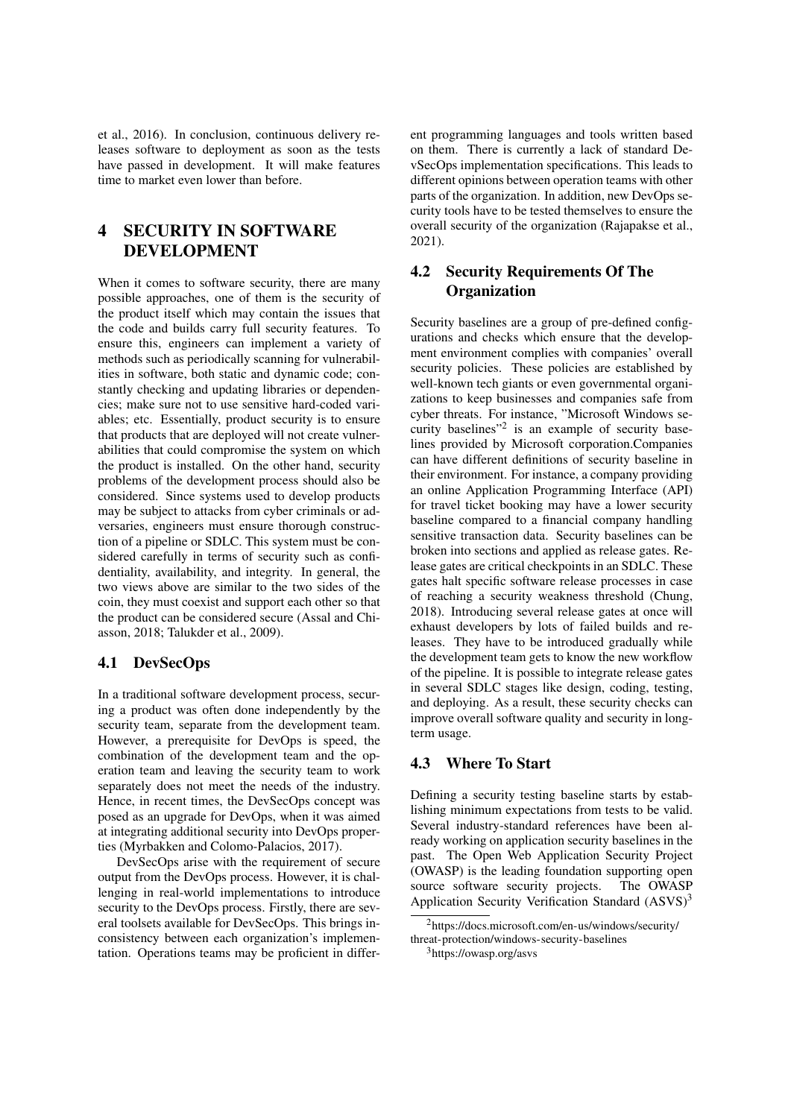et al., 2016). In conclusion, continuous delivery releases software to deployment as soon as the tests have passed in development. It will make features time to market even lower than before.

# 4 SECURITY IN SOFTWARE DEVELOPMENT

When it comes to software security, there are many possible approaches, one of them is the security of the product itself which may contain the issues that the code and builds carry full security features. To ensure this, engineers can implement a variety of methods such as periodically scanning for vulnerabilities in software, both static and dynamic code; constantly checking and updating libraries or dependencies; make sure not to use sensitive hard-coded variables; etc. Essentially, product security is to ensure that products that are deployed will not create vulnerabilities that could compromise the system on which the product is installed. On the other hand, security problems of the development process should also be considered. Since systems used to develop products may be subject to attacks from cyber criminals or adversaries, engineers must ensure thorough construction of a pipeline or SDLC. This system must be considered carefully in terms of security such as confidentiality, availability, and integrity. In general, the two views above are similar to the two sides of the coin, they must coexist and support each other so that the product can be considered secure (Assal and Chiasson, 2018; Talukder et al., 2009).

## 4.1 DevSecOps

In a traditional software development process, securing a product was often done independently by the security team, separate from the development team. However, a prerequisite for DevOps is speed, the combination of the development team and the operation team and leaving the security team to work separately does not meet the needs of the industry. Hence, in recent times, the DevSecOps concept was posed as an upgrade for DevOps, when it was aimed at integrating additional security into DevOps properties (Myrbakken and Colomo-Palacios, 2017).

DevSecOps arise with the requirement of secure output from the DevOps process. However, it is challenging in real-world implementations to introduce security to the DevOps process. Firstly, there are several toolsets available for DevSecOps. This brings inconsistency between each organization's implementation. Operations teams may be proficient in different programming languages and tools written based on them. There is currently a lack of standard DevSecOps implementation specifications. This leads to different opinions between operation teams with other parts of the organization. In addition, new DevOps security tools have to be tested themselves to ensure the overall security of the organization (Rajapakse et al., 2021).

# 4.2 Security Requirements Of The **Organization**

Security baselines are a group of pre-defined configurations and checks which ensure that the development environment complies with companies' overall security policies. These policies are established by well-known tech giants or even governmental organizations to keep businesses and companies safe from cyber threats. For instance, "Microsoft Windows security baselines"<sup>2</sup> is an example of security baselines provided by Microsoft corporation.Companies can have different definitions of security baseline in their environment. For instance, a company providing an online Application Programming Interface (API) for travel ticket booking may have a lower security baseline compared to a financial company handling sensitive transaction data. Security baselines can be broken into sections and applied as release gates. Release gates are critical checkpoints in an SDLC. These gates halt specific software release processes in case of reaching a security weakness threshold (Chung, 2018). Introducing several release gates at once will exhaust developers by lots of failed builds and releases. They have to be introduced gradually while the development team gets to know the new workflow of the pipeline. It is possible to integrate release gates in several SDLC stages like design, coding, testing, and deploying. As a result, these security checks can improve overall software quality and security in longterm usage.

## 4.3 Where To Start

Defining a security testing baseline starts by establishing minimum expectations from tests to be valid. Several industry-standard references have been already working on application security baselines in the past. The Open Web Application Security Project (OWASP) is the leading foundation supporting open source software security projects. The OWASP Application Security Verification Standard  $(ANSVS)^3$ 

<sup>2</sup>https://docs.microsoft.com/en-us/windows/security/ threat-protection/windows-security-baselines

<sup>3</sup>https://owasp.org/asvs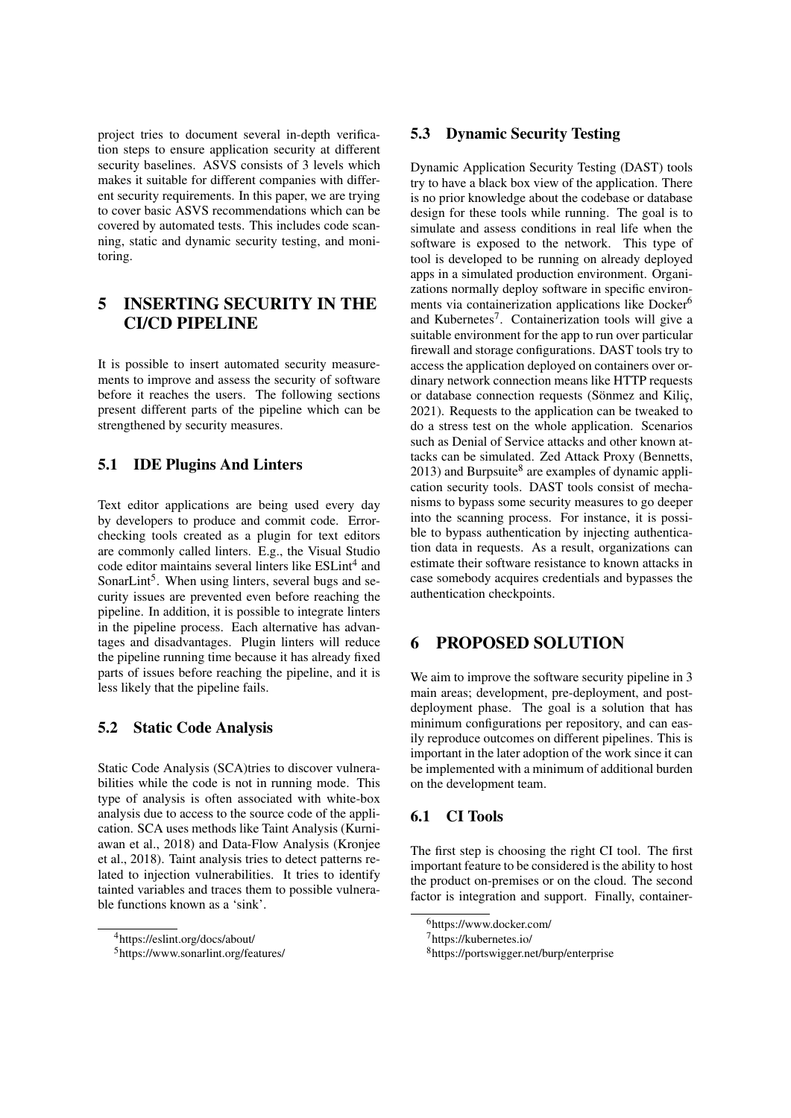project tries to document several in-depth verification steps to ensure application security at different security baselines. ASVS consists of 3 levels which makes it suitable for different companies with different security requirements. In this paper, we are trying to cover basic ASVS recommendations which can be covered by automated tests. This includes code scanning, static and dynamic security testing, and monitoring.

# 5 INSERTING SECURITY IN THE CI/CD PIPELINE

It is possible to insert automated security measurements to improve and assess the security of software before it reaches the users. The following sections present different parts of the pipeline which can be strengthened by security measures.

# 5.1 IDE Plugins And Linters

Text editor applications are being used every day by developers to produce and commit code. Errorchecking tools created as a plugin for text editors are commonly called linters. E.g., the Visual Studio code editor maintains several linters like ESLint<sup>4</sup> and SonarLint<sup>5</sup>. When using linters, several bugs and security issues are prevented even before reaching the pipeline. In addition, it is possible to integrate linters in the pipeline process. Each alternative has advantages and disadvantages. Plugin linters will reduce the pipeline running time because it has already fixed parts of issues before reaching the pipeline, and it is less likely that the pipeline fails.

## 5.2 Static Code Analysis

Static Code Analysis (SCA)tries to discover vulnerabilities while the code is not in running mode. This type of analysis is often associated with white-box analysis due to access to the source code of the application. SCA uses methods like Taint Analysis (Kurniawan et al., 2018) and Data-Flow Analysis (Kronjee et al., 2018). Taint analysis tries to detect patterns related to injection vulnerabilities. It tries to identify tainted variables and traces them to possible vulnerable functions known as a 'sink'.

### 5.3 Dynamic Security Testing

Dynamic Application Security Testing (DAST) tools try to have a black box view of the application. There is no prior knowledge about the codebase or database design for these tools while running. The goal is to simulate and assess conditions in real life when the software is exposed to the network. This type of tool is developed to be running on already deployed apps in a simulated production environment. Organizations normally deploy software in specific environments via containerization applications like Docker<sup>6</sup> and Kubernetes<sup>7</sup>. Containerization tools will give a suitable environment for the app to run over particular firewall and storage configurations. DAST tools try to access the application deployed on containers over ordinary network connection means like HTTP requests or database connection requests (Sönmez and Kilic, 2021). Requests to the application can be tweaked to do a stress test on the whole application. Scenarios such as Denial of Service attacks and other known attacks can be simulated. Zed Attack Proxy (Bennetts,  $2013$ ) and Burpsuite<sup>8</sup> are examples of dynamic application security tools. DAST tools consist of mechanisms to bypass some security measures to go deeper into the scanning process. For instance, it is possible to bypass authentication by injecting authentication data in requests. As a result, organizations can estimate their software resistance to known attacks in case somebody acquires credentials and bypasses the authentication checkpoints.

## 6 PROPOSED SOLUTION

We aim to improve the software security pipeline in 3 main areas; development, pre-deployment, and postdeployment phase. The goal is a solution that has minimum configurations per repository, and can easily reproduce outcomes on different pipelines. This is important in the later adoption of the work since it can be implemented with a minimum of additional burden on the development team.

## 6.1 CI Tools

The first step is choosing the right CI tool. The first important feature to be considered is the ability to host the product on-premises or on the cloud. The second factor is integration and support. Finally, container-

<sup>4</sup>https://eslint.org/docs/about/

<sup>5</sup>https://www.sonarlint.org/features/

<sup>6</sup>https://www.docker.com/

<sup>7</sup>https://kubernetes.io/

<sup>8</sup>https://portswigger.net/burp/enterprise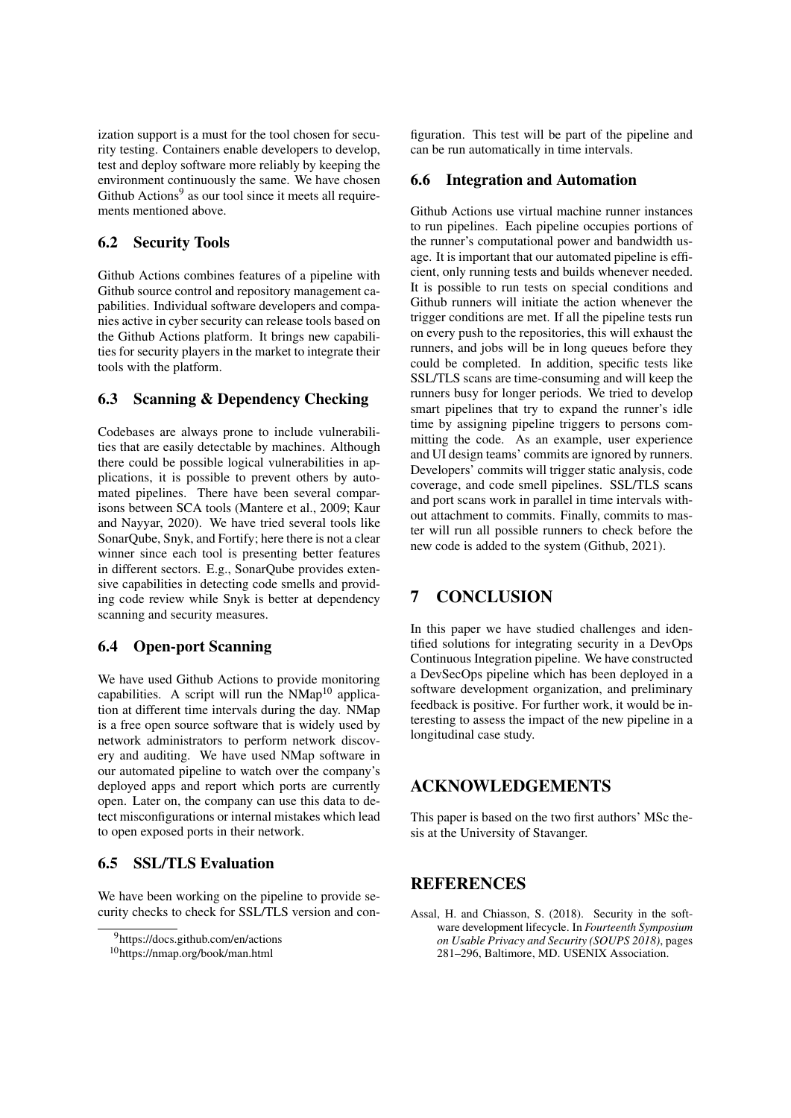ization support is a must for the tool chosen for security testing. Containers enable developers to develop, test and deploy software more reliably by keeping the environment continuously the same. We have chosen Github Actions<sup>9</sup> as our tool since it meets all requirements mentioned above.

# 6.2 Security Tools

Github Actions combines features of a pipeline with Github source control and repository management capabilities. Individual software developers and companies active in cyber security can release tools based on the Github Actions platform. It brings new capabilities for security players in the market to integrate their tools with the platform.

# 6.3 Scanning & Dependency Checking

Codebases are always prone to include vulnerabilities that are easily detectable by machines. Although there could be possible logical vulnerabilities in applications, it is possible to prevent others by automated pipelines. There have been several comparisons between SCA tools (Mantere et al., 2009; Kaur and Nayyar, 2020). We have tried several tools like SonarQube, Snyk, and Fortify; here there is not a clear winner since each tool is presenting better features in different sectors. E.g., SonarQube provides extensive capabilities in detecting code smells and providing code review while Snyk is better at dependency scanning and security measures.

### 6.4 Open-port Scanning

We have used Github Actions to provide monitoring capabilities. A script will run the  $NMap<sup>10</sup>$  application at different time intervals during the day. NMap is a free open source software that is widely used by network administrators to perform network discovery and auditing. We have used NMap software in our automated pipeline to watch over the company's deployed apps and report which ports are currently open. Later on, the company can use this data to detect misconfigurations or internal mistakes which lead to open exposed ports in their network.

# 6.5 SSL/TLS Evaluation

We have been working on the pipeline to provide security checks to check for SSL/TLS version and con-

figuration. This test will be part of the pipeline and can be run automatically in time intervals.

#### 6.6 Integration and Automation

Github Actions use virtual machine runner instances to run pipelines. Each pipeline occupies portions of the runner's computational power and bandwidth usage. It is important that our automated pipeline is efficient, only running tests and builds whenever needed. It is possible to run tests on special conditions and Github runners will initiate the action whenever the trigger conditions are met. If all the pipeline tests run on every push to the repositories, this will exhaust the runners, and jobs will be in long queues before they could be completed. In addition, specific tests like SSL/TLS scans are time-consuming and will keep the runners busy for longer periods. We tried to develop smart pipelines that try to expand the runner's idle time by assigning pipeline triggers to persons committing the code. As an example, user experience and UI design teams' commits are ignored by runners. Developers' commits will trigger static analysis, code coverage, and code smell pipelines. SSL/TLS scans and port scans work in parallel in time intervals without attachment to commits. Finally, commits to master will run all possible runners to check before the new code is added to the system (Github, 2021).

# 7 CONCLUSION

In this paper we have studied challenges and identified solutions for integrating security in a DevOps Continuous Integration pipeline. We have constructed a DevSecOps pipeline which has been deployed in a software development organization, and preliminary feedback is positive. For further work, it would be interesting to assess the impact of the new pipeline in a longitudinal case study.

# ACKNOWLEDGEMENTS

This paper is based on the two first authors' MSc thesis at the University of Stavanger.

# **REFERENCES**

Assal, H. and Chiasson, S. (2018). Security in the software development lifecycle. In *Fourteenth Symposium on Usable Privacy and Security (SOUPS 2018)*, pages 281–296, Baltimore, MD. USENIX Association.

<sup>9</sup>https://docs.github.com/en/actions

<sup>10</sup>https://nmap.org/book/man.html